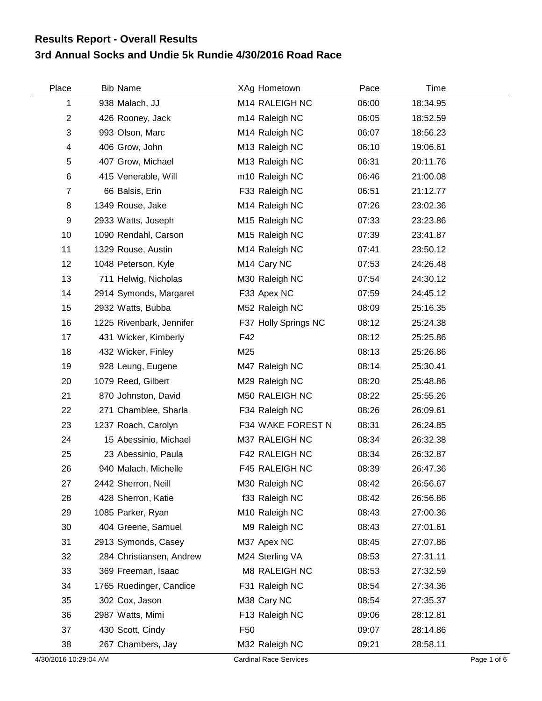## **3rd Annual Socks and Undie 5k Rundie 4/30/2016 Road Race Results Report - Overall Results**

| Place          | <b>Bib Name</b>          | XAg Hometown               | Pace  | Time     |  |
|----------------|--------------------------|----------------------------|-------|----------|--|
| 1              | 938 Malach, JJ           | M14 RALEIGH NC             | 06:00 | 18:34.95 |  |
| $\overline{2}$ | 426 Rooney, Jack         | m14 Raleigh NC             | 06:05 | 18:52.59 |  |
| 3              | 993 Olson, Marc          | M14 Raleigh NC             | 06:07 | 18:56.23 |  |
| 4              | 406 Grow, John           | M13 Raleigh NC             | 06:10 | 19:06.61 |  |
| 5              | 407 Grow, Michael        | M13 Raleigh NC             | 06:31 | 20:11.76 |  |
| 6              | 415 Venerable, Will      | m10 Raleigh NC             | 06:46 | 21:00.08 |  |
| $\overline{7}$ | 66 Balsis, Erin          | F33 Raleigh NC             | 06:51 | 21:12.77 |  |
| 8              | 1349 Rouse, Jake         | M14 Raleigh NC             | 07:26 | 23:02.36 |  |
| 9              | 2933 Watts, Joseph       | M <sub>15</sub> Raleigh NC | 07:33 | 23:23.86 |  |
| 10             | 1090 Rendahl, Carson     | M15 Raleigh NC             | 07:39 | 23:41.87 |  |
| 11             | 1329 Rouse, Austin       | M14 Raleigh NC             | 07:41 | 23:50.12 |  |
| 12             | 1048 Peterson, Kyle      | M14 Cary NC                | 07:53 | 24:26.48 |  |
| 13             | 711 Helwig, Nicholas     | M30 Raleigh NC             | 07:54 | 24:30.12 |  |
| 14             | 2914 Symonds, Margaret   | F33 Apex NC                | 07:59 | 24:45.12 |  |
| 15             | 2932 Watts, Bubba        | M52 Raleigh NC             | 08:09 | 25:16.35 |  |
| 16             | 1225 Rivenbark, Jennifer | F37 Holly Springs NC       | 08:12 | 25:24.38 |  |
| 17             | 431 Wicker, Kimberly     | F42                        | 08:12 | 25:25.86 |  |
| 18             | 432 Wicker, Finley       | M25                        | 08:13 | 25:26.86 |  |
| 19             | 928 Leung, Eugene        | M47 Raleigh NC             | 08:14 | 25:30.41 |  |
| 20             | 1079 Reed, Gilbert       | M29 Raleigh NC             | 08:20 | 25:48.86 |  |
| 21             | 870 Johnston, David      | M50 RALEIGH NC             | 08:22 | 25:55.26 |  |
| 22             | 271 Chamblee, Sharla     | F34 Raleigh NC             | 08:26 | 26:09.61 |  |
| 23             | 1237 Roach, Carolyn      | F34 WAKE FOREST N          | 08:31 | 26:24.85 |  |
| 24             | 15 Abessinio, Michael    | M37 RALEIGH NC             | 08:34 | 26:32.38 |  |
| 25             | 23 Abessinio, Paula      | F42 RALEIGH NC             | 08:34 | 26:32.87 |  |
| 26             | 940 Malach, Michelle     | F45 RALEIGH NC             | 08:39 | 26:47.36 |  |
| 27             | 2442 Sherron, Neill      | M30 Raleigh NC             | 08:42 | 26:56.67 |  |
| 28             | 428 Sherron, Katie       | f33 Raleigh NC             | 08:42 | 26:56.86 |  |
| 29             | 1085 Parker, Ryan        | M10 Raleigh NC             | 08:43 | 27:00.36 |  |
| 30             | 404 Greene, Samuel       | M9 Raleigh NC              | 08:43 | 27:01.61 |  |
| 31             | 2913 Symonds, Casey      | M37 Apex NC                | 08:45 | 27:07.86 |  |
| 32             | 284 Christiansen, Andrew | M24 Sterling VA            | 08:53 | 27:31.11 |  |
| 33             | 369 Freeman, Isaac       | M8 RALEIGH NC              | 08:53 | 27:32.59 |  |
| 34             | 1765 Ruedinger, Candice  | F31 Raleigh NC             | 08:54 | 27:34.36 |  |
| 35             | 302 Cox, Jason           | M38 Cary NC                | 08:54 | 27:35.37 |  |
| 36             | 2987 Watts, Mimi         | F13 Raleigh NC             | 09:06 | 28:12.81 |  |
| 37             | 430 Scott, Cindy         | F <sub>50</sub>            | 09:07 | 28:14.86 |  |
| 38             | 267 Chambers, Jay        | M32 Raleigh NC             | 09:21 | 28:58.11 |  |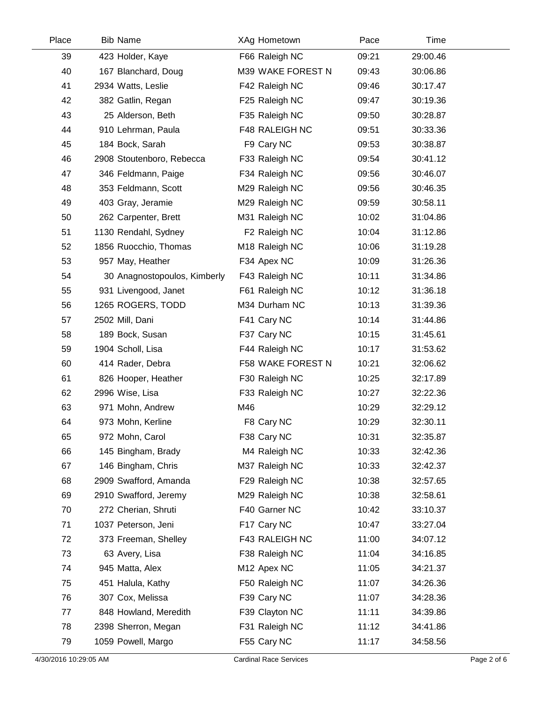| Place | <b>Bib Name</b>              | XAg Hometown              | Pace  | Time     |  |
|-------|------------------------------|---------------------------|-------|----------|--|
| 39    | 423 Holder, Kaye             | F66 Raleigh NC            | 09:21 | 29:00.46 |  |
| 40    | 167 Blanchard, Doug          | M39 WAKE FOREST N         | 09:43 | 30:06.86 |  |
| 41    | 2934 Watts, Leslie           | F42 Raleigh NC            | 09:46 | 30:17.47 |  |
| 42    | 382 Gatlin, Regan            | F25 Raleigh NC            | 09:47 | 30:19.36 |  |
| 43    | 25 Alderson, Beth            | F35 Raleigh NC            | 09:50 | 30:28.87 |  |
| 44    | 910 Lehrman, Paula           | F48 RALEIGH NC            | 09:51 | 30:33.36 |  |
| 45    | 184 Bock, Sarah              | F9 Cary NC                | 09:53 | 30:38.87 |  |
| 46    | 2908 Stoutenboro, Rebecca    | F33 Raleigh NC            | 09:54 | 30:41.12 |  |
| 47    | 346 Feldmann, Paige          | F34 Raleigh NC            | 09:56 | 30:46.07 |  |
| 48    | 353 Feldmann, Scott          | M29 Raleigh NC            | 09:56 | 30:46.35 |  |
| 49    | 403 Gray, Jeramie            | M29 Raleigh NC            | 09:59 | 30:58.11 |  |
| 50    | 262 Carpenter, Brett         | M31 Raleigh NC            | 10:02 | 31:04.86 |  |
| 51    | 1130 Rendahl, Sydney         | F <sub>2</sub> Raleigh NC | 10:04 | 31:12.86 |  |
| 52    | 1856 Ruocchio, Thomas        | M18 Raleigh NC            | 10:06 | 31:19.28 |  |
| 53    | 957 May, Heather             | F34 Apex NC               | 10:09 | 31:26.36 |  |
| 54    | 30 Anagnostopoulos, Kimberly | F43 Raleigh NC            | 10:11 | 31:34.86 |  |
| 55    | 931 Livengood, Janet         | F61 Raleigh NC            | 10:12 | 31:36.18 |  |
| 56    | 1265 ROGERS, TODD            | M34 Durham NC             | 10:13 | 31:39.36 |  |
| 57    | 2502 Mill, Dani              | F41 Cary NC               | 10:14 | 31:44.86 |  |
| 58    | 189 Bock, Susan              | F37 Cary NC               | 10:15 | 31:45.61 |  |
| 59    | 1904 Scholl, Lisa            | F44 Raleigh NC            | 10:17 | 31:53.62 |  |
| 60    | 414 Rader, Debra             | F58 WAKE FOREST N         | 10:21 | 32:06.62 |  |
| 61    | 826 Hooper, Heather          | F30 Raleigh NC            | 10:25 | 32:17.89 |  |
| 62    | 2996 Wise, Lisa              | F33 Raleigh NC            | 10:27 | 32:22.36 |  |
| 63    | 971 Mohn, Andrew             | M46                       | 10:29 | 32:29.12 |  |
| 64    | 973 Mohn, Kerline            | F8 Cary NC                | 10:29 | 32:30.11 |  |
| 65    | 972 Mohn, Carol              | F38 Cary NC               | 10:31 | 32:35.87 |  |
| 66    | 145 Bingham, Brady           | M4 Raleigh NC             | 10:33 | 32:42.36 |  |
| 67    | 146 Bingham, Chris           | M37 Raleigh NC            | 10:33 | 32:42.37 |  |
| 68    | 2909 Swafford, Amanda        | F29 Raleigh NC            | 10:38 | 32:57.65 |  |
| 69    | 2910 Swafford, Jeremy        | M29 Raleigh NC            | 10:38 | 32:58.61 |  |
| 70    | 272 Cherian, Shruti          | F40 Garner NC             | 10:42 | 33:10.37 |  |
| 71    | 1037 Peterson, Jeni          | F17 Cary NC               | 10:47 | 33:27.04 |  |
| 72    | 373 Freeman, Shelley         | F43 RALEIGH NC            | 11:00 | 34:07.12 |  |
| 73    | 63 Avery, Lisa               | F38 Raleigh NC            | 11:04 | 34:16.85 |  |
| 74    | 945 Matta, Alex              | M12 Apex NC               | 11:05 | 34:21.37 |  |
| 75    | 451 Halula, Kathy            | F50 Raleigh NC            | 11:07 | 34:26.36 |  |
| 76    | 307 Cox, Melissa             | F39 Cary NC               | 11:07 | 34:28.36 |  |
| 77    | 848 Howland, Meredith        | F39 Clayton NC            | 11:11 | 34:39.86 |  |
| 78    | 2398 Sherron, Megan          | F31 Raleigh NC            | 11:12 | 34:41.86 |  |
| 79    | 1059 Powell, Margo           | F55 Cary NC               | 11:17 | 34:58.56 |  |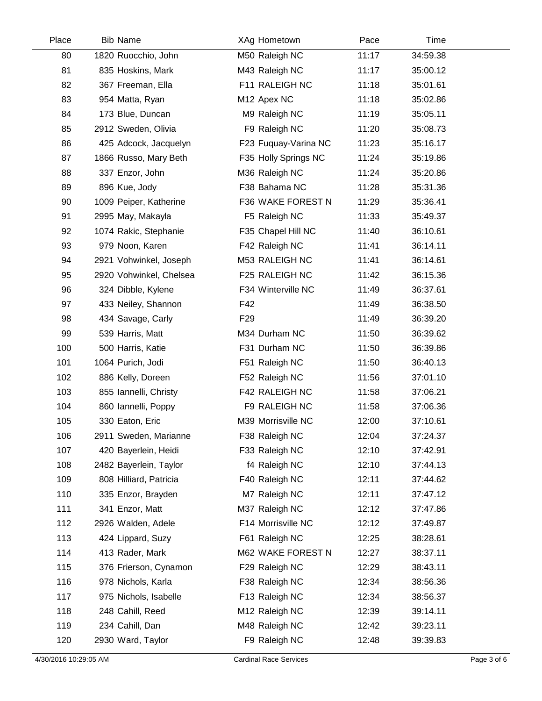| Place | <b>Bib Name</b>         | XAg Hometown         | Pace  | Time     |  |
|-------|-------------------------|----------------------|-------|----------|--|
| 80    | 1820 Ruocchio, John     | M50 Raleigh NC       | 11:17 | 34:59.38 |  |
| 81    | 835 Hoskins, Mark       | M43 Raleigh NC       | 11:17 | 35:00.12 |  |
| 82    | 367 Freeman, Ella       | F11 RALEIGH NC       | 11:18 | 35:01.61 |  |
| 83    | 954 Matta, Ryan         | M12 Apex NC          | 11:18 | 35:02.86 |  |
| 84    | 173 Blue, Duncan        | M9 Raleigh NC        | 11:19 | 35:05.11 |  |
| 85    | 2912 Sweden, Olivia     | F9 Raleigh NC        | 11:20 | 35:08.73 |  |
| 86    | 425 Adcock, Jacquelyn   | F23 Fuquay-Varina NC | 11:23 | 35:16.17 |  |
| 87    | 1866 Russo, Mary Beth   | F35 Holly Springs NC | 11:24 | 35:19.86 |  |
| 88    | 337 Enzor, John         | M36 Raleigh NC       | 11:24 | 35:20.86 |  |
| 89    | 896 Kue, Jody           | F38 Bahama NC        | 11:28 | 35:31.36 |  |
| 90    | 1009 Peiper, Katherine  | F36 WAKE FOREST N    | 11:29 | 35:36.41 |  |
| 91    | 2995 May, Makayla       | F5 Raleigh NC        | 11:33 | 35:49.37 |  |
| 92    | 1074 Rakic, Stephanie   | F35 Chapel Hill NC   | 11:40 | 36:10.61 |  |
| 93    | 979 Noon, Karen         | F42 Raleigh NC       | 11:41 | 36:14.11 |  |
| 94    | 2921 Vohwinkel, Joseph  | M53 RALEIGH NC       | 11:41 | 36:14.61 |  |
| 95    | 2920 Vohwinkel, Chelsea | F25 RALEIGH NC       | 11:42 | 36:15.36 |  |
| 96    | 324 Dibble, Kylene      | F34 Winterville NC   | 11:49 | 36:37.61 |  |
| 97    | 433 Neiley, Shannon     | F42                  | 11:49 | 36:38.50 |  |
| 98    | 434 Savage, Carly       | F <sub>29</sub>      | 11:49 | 36:39.20 |  |
| 99    | 539 Harris, Matt        | M34 Durham NC        | 11:50 | 36:39.62 |  |
| 100   | 500 Harris, Katie       | F31 Durham NC        | 11:50 | 36:39.86 |  |
| 101   | 1064 Purich, Jodi       | F51 Raleigh NC       | 11:50 | 36:40.13 |  |
| 102   | 886 Kelly, Doreen       | F52 Raleigh NC       | 11:56 | 37:01.10 |  |
| 103   | 855 Iannelli, Christy   | F42 RALEIGH NC       | 11:58 | 37:06.21 |  |
| 104   | 860 Iannelli, Poppy     | F9 RALEIGH NC        | 11:58 | 37:06.36 |  |
| 105   | 330 Eaton, Eric         | M39 Morrisville NC   | 12:00 | 37:10.61 |  |
| 106   | 2911 Sweden, Marianne   | F38 Raleigh NC       | 12:04 | 37:24.37 |  |
| 107   | 420 Bayerlein, Heidi    | F33 Raleigh NC       | 12:10 | 37:42.91 |  |
| 108   | 2482 Bayerlein, Taylor  | f4 Raleigh NC        | 12:10 | 37:44.13 |  |
| 109   | 808 Hilliard, Patricia  | F40 Raleigh NC       | 12:11 | 37:44.62 |  |
| 110   | 335 Enzor, Brayden      | M7 Raleigh NC        | 12:11 | 37:47.12 |  |
| 111   | 341 Enzor, Matt         | M37 Raleigh NC       | 12:12 | 37:47.86 |  |
| 112   | 2926 Walden, Adele      | F14 Morrisville NC   | 12:12 | 37:49.87 |  |
| 113   | 424 Lippard, Suzy       | F61 Raleigh NC       | 12:25 | 38:28.61 |  |
| 114   | 413 Rader, Mark         | M62 WAKE FOREST N    | 12:27 | 38:37.11 |  |
| 115   | 376 Frierson, Cynamon   | F29 Raleigh NC       | 12:29 | 38:43.11 |  |
| 116   | 978 Nichols, Karla      | F38 Raleigh NC       | 12:34 | 38:56.36 |  |
| 117   | 975 Nichols, Isabelle   | F13 Raleigh NC       | 12:34 | 38:56.37 |  |
| 118   | 248 Cahill, Reed        | M12 Raleigh NC       | 12:39 | 39:14.11 |  |
| 119   | 234 Cahill, Dan         | M48 Raleigh NC       | 12:42 | 39:23.11 |  |
| 120   | 2930 Ward, Taylor       | F9 Raleigh NC        | 12:48 | 39:39.83 |  |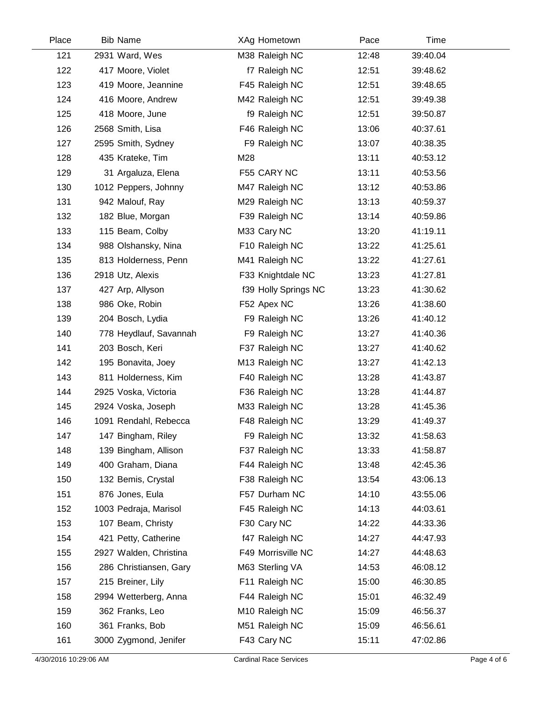| Place | <b>Bib Name</b>        | XAg Hometown         | Pace  | Time     |  |
|-------|------------------------|----------------------|-------|----------|--|
| 121   | 2931 Ward, Wes         | M38 Raleigh NC       | 12:48 | 39:40.04 |  |
| 122   | 417 Moore, Violet      | f7 Raleigh NC        | 12:51 | 39:48.62 |  |
| 123   | 419 Moore, Jeannine    | F45 Raleigh NC       | 12:51 | 39:48.65 |  |
| 124   | 416 Moore, Andrew      | M42 Raleigh NC       | 12:51 | 39:49.38 |  |
| 125   | 418 Moore, June        | f9 Raleigh NC        | 12:51 | 39:50.87 |  |
| 126   | 2568 Smith, Lisa       | F46 Raleigh NC       | 13:06 | 40:37.61 |  |
| 127   | 2595 Smith, Sydney     | F9 Raleigh NC        | 13:07 | 40:38.35 |  |
| 128   | 435 Krateke, Tim       | M28                  | 13:11 | 40:53.12 |  |
| 129   | 31 Argaluza, Elena     | F55 CARY NC          | 13:11 | 40:53.56 |  |
| 130   | 1012 Peppers, Johnny   | M47 Raleigh NC       | 13:12 | 40:53.86 |  |
| 131   | 942 Malouf, Ray        | M29 Raleigh NC       | 13:13 | 40:59.37 |  |
| 132   | 182 Blue, Morgan       | F39 Raleigh NC       | 13:14 | 40:59.86 |  |
| 133   | 115 Beam, Colby        | M33 Cary NC          | 13:20 | 41:19.11 |  |
| 134   | 988 Olshansky, Nina    | F10 Raleigh NC       | 13:22 | 41:25.61 |  |
| 135   | 813 Holderness, Penn   | M41 Raleigh NC       | 13:22 | 41:27.61 |  |
| 136   | 2918 Utz, Alexis       | F33 Knightdale NC    | 13:23 | 41:27.81 |  |
| 137   | 427 Arp, Allyson       | f39 Holly Springs NC | 13:23 | 41:30.62 |  |
| 138   | 986 Oke, Robin         | F52 Apex NC          | 13:26 | 41:38.60 |  |
| 139   | 204 Bosch, Lydia       | F9 Raleigh NC        | 13:26 | 41:40.12 |  |
| 140   | 778 Heydlauf, Savannah | F9 Raleigh NC        | 13:27 | 41:40.36 |  |
| 141   | 203 Bosch, Keri        | F37 Raleigh NC       | 13:27 | 41:40.62 |  |
| 142   | 195 Bonavita, Joey     | M13 Raleigh NC       | 13:27 | 41:42.13 |  |
| 143   | 811 Holderness, Kim    | F40 Raleigh NC       | 13:28 | 41:43.87 |  |
| 144   | 2925 Voska, Victoria   | F36 Raleigh NC       | 13:28 | 41:44.87 |  |
| 145   | 2924 Voska, Joseph     | M33 Raleigh NC       | 13:28 | 41:45.36 |  |
| 146   | 1091 Rendahl, Rebecca  | F48 Raleigh NC       | 13:29 | 41:49.37 |  |
| 147   | 147 Bingham, Riley     | F9 Raleigh NC        | 13:32 | 41:58.63 |  |
| 148   | 139 Bingham, Allison   | F37 Raleigh NC       | 13:33 | 41:58.87 |  |
| 149   | 400 Graham, Diana      | F44 Raleigh NC       | 13:48 | 42:45.36 |  |
| 150   | 132 Bemis, Crystal     | F38 Raleigh NC       | 13:54 | 43:06.13 |  |
| 151   | 876 Jones, Eula        | F57 Durham NC        | 14:10 | 43:55.06 |  |
| 152   | 1003 Pedraja, Marisol  | F45 Raleigh NC       | 14:13 | 44:03.61 |  |
| 153   | 107 Beam, Christy      | F30 Cary NC          | 14:22 | 44:33.36 |  |
| 154   | 421 Petty, Catherine   | f47 Raleigh NC       | 14:27 | 44:47.93 |  |
| 155   | 2927 Walden, Christina | F49 Morrisville NC   | 14:27 | 44:48.63 |  |
| 156   | 286 Christiansen, Gary | M63 Sterling VA      | 14:53 | 46:08.12 |  |
| 157   | 215 Breiner, Lily      | F11 Raleigh NC       | 15:00 | 46:30.85 |  |
| 158   | 2994 Wetterberg, Anna  | F44 Raleigh NC       | 15:01 | 46:32.49 |  |
| 159   | 362 Franks, Leo        | M10 Raleigh NC       | 15:09 | 46:56.37 |  |
| 160   | 361 Franks, Bob        | M51 Raleigh NC       | 15:09 | 46:56.61 |  |
| 161   | 3000 Zygmond, Jenifer  | F43 Cary NC          | 15:11 | 47:02.86 |  |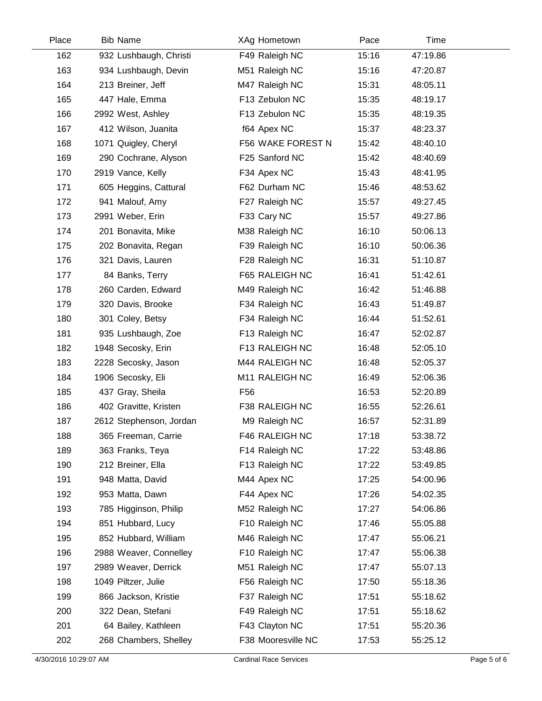| Place | <b>Bib Name</b>         | XAg Hometown       | Pace  | Time     |  |
|-------|-------------------------|--------------------|-------|----------|--|
| 162   | 932 Lushbaugh, Christi  | F49 Raleigh NC     | 15:16 | 47:19.86 |  |
| 163   | 934 Lushbaugh, Devin    | M51 Raleigh NC     | 15:16 | 47:20.87 |  |
| 164   | 213 Breiner, Jeff       | M47 Raleigh NC     | 15:31 | 48:05.11 |  |
| 165   | 447 Hale, Emma          | F13 Zebulon NC     | 15:35 | 48:19.17 |  |
| 166   | 2992 West, Ashley       | F13 Zebulon NC     | 15:35 | 48:19.35 |  |
| 167   | 412 Wilson, Juanita     | f64 Apex NC        | 15:37 | 48:23.37 |  |
| 168   | 1071 Quigley, Cheryl    | F56 WAKE FOREST N  | 15:42 | 48:40.10 |  |
| 169   | 290 Cochrane, Alyson    | F25 Sanford NC     | 15:42 | 48:40.69 |  |
| 170   | 2919 Vance, Kelly       | F34 Apex NC        | 15:43 | 48:41.95 |  |
| 171   | 605 Heggins, Cattural   | F62 Durham NC      | 15:46 | 48:53.62 |  |
| 172   | 941 Malouf, Amy         | F27 Raleigh NC     | 15:57 | 49:27.45 |  |
| 173   | 2991 Weber, Erin        | F33 Cary NC        | 15:57 | 49:27.86 |  |
| 174   | 201 Bonavita, Mike      | M38 Raleigh NC     | 16:10 | 50:06.13 |  |
| 175   | 202 Bonavita, Regan     | F39 Raleigh NC     | 16:10 | 50:06.36 |  |
| 176   | 321 Davis, Lauren       | F28 Raleigh NC     | 16:31 | 51:10.87 |  |
| 177   | 84 Banks, Terry         | F65 RALEIGH NC     | 16:41 | 51:42.61 |  |
| 178   | 260 Carden, Edward      | M49 Raleigh NC     | 16:42 | 51:46.88 |  |
| 179   | 320 Davis, Brooke       | F34 Raleigh NC     | 16:43 | 51:49.87 |  |
| 180   | 301 Coley, Betsy        | F34 Raleigh NC     | 16:44 | 51:52.61 |  |
| 181   | 935 Lushbaugh, Zoe      | F13 Raleigh NC     | 16:47 | 52:02.87 |  |
| 182   | 1948 Secosky, Erin      | F13 RALEIGH NC     | 16:48 | 52:05.10 |  |
| 183   | 2228 Secosky, Jason     | M44 RALEIGH NC     | 16:48 | 52:05.37 |  |
| 184   | 1906 Secosky, Eli       | M11 RALEIGH NC     | 16:49 | 52:06.36 |  |
| 185   | 437 Gray, Sheila        | F <sub>56</sub>    | 16:53 | 52:20.89 |  |
| 186   | 402 Gravitte, Kristen   | F38 RALEIGH NC     | 16:55 | 52:26.61 |  |
| 187   | 2612 Stephenson, Jordan | M9 Raleigh NC      | 16:57 | 52:31.89 |  |
| 188   | 365 Freeman, Carrie     | F46 RALEIGH NC     | 17:18 | 53:38.72 |  |
| 189   | 363 Franks, Teya        | F14 Raleigh NC     | 17:22 | 53:48.86 |  |
| 190   | 212 Breiner, Ella       | F13 Raleigh NC     | 17:22 | 53:49.85 |  |
| 191   | 948 Matta, David        | M44 Apex NC        | 17:25 | 54:00.96 |  |
| 192   | 953 Matta, Dawn         | F44 Apex NC        | 17:26 | 54:02.35 |  |
| 193   | 785 Higginson, Philip   | M52 Raleigh NC     | 17:27 | 54:06.86 |  |
| 194   | 851 Hubbard, Lucy       | F10 Raleigh NC     | 17:46 | 55:05.88 |  |
| 195   | 852 Hubbard, William    | M46 Raleigh NC     | 17:47 | 55:06.21 |  |
| 196   | 2988 Weaver, Connelley  | F10 Raleigh NC     | 17:47 | 55:06.38 |  |
| 197   | 2989 Weaver, Derrick    | M51 Raleigh NC     | 17:47 | 55:07.13 |  |
| 198   | 1049 Piltzer, Julie     | F56 Raleigh NC     | 17:50 | 55:18.36 |  |
| 199   | 866 Jackson, Kristie    | F37 Raleigh NC     | 17:51 | 55:18.62 |  |
| 200   | 322 Dean, Stefani       | F49 Raleigh NC     | 17:51 | 55:18.62 |  |
| 201   | 64 Bailey, Kathleen     | F43 Clayton NC     | 17:51 | 55:20.36 |  |
| 202   | 268 Chambers, Shelley   | F38 Mooresville NC | 17:53 | 55:25.12 |  |